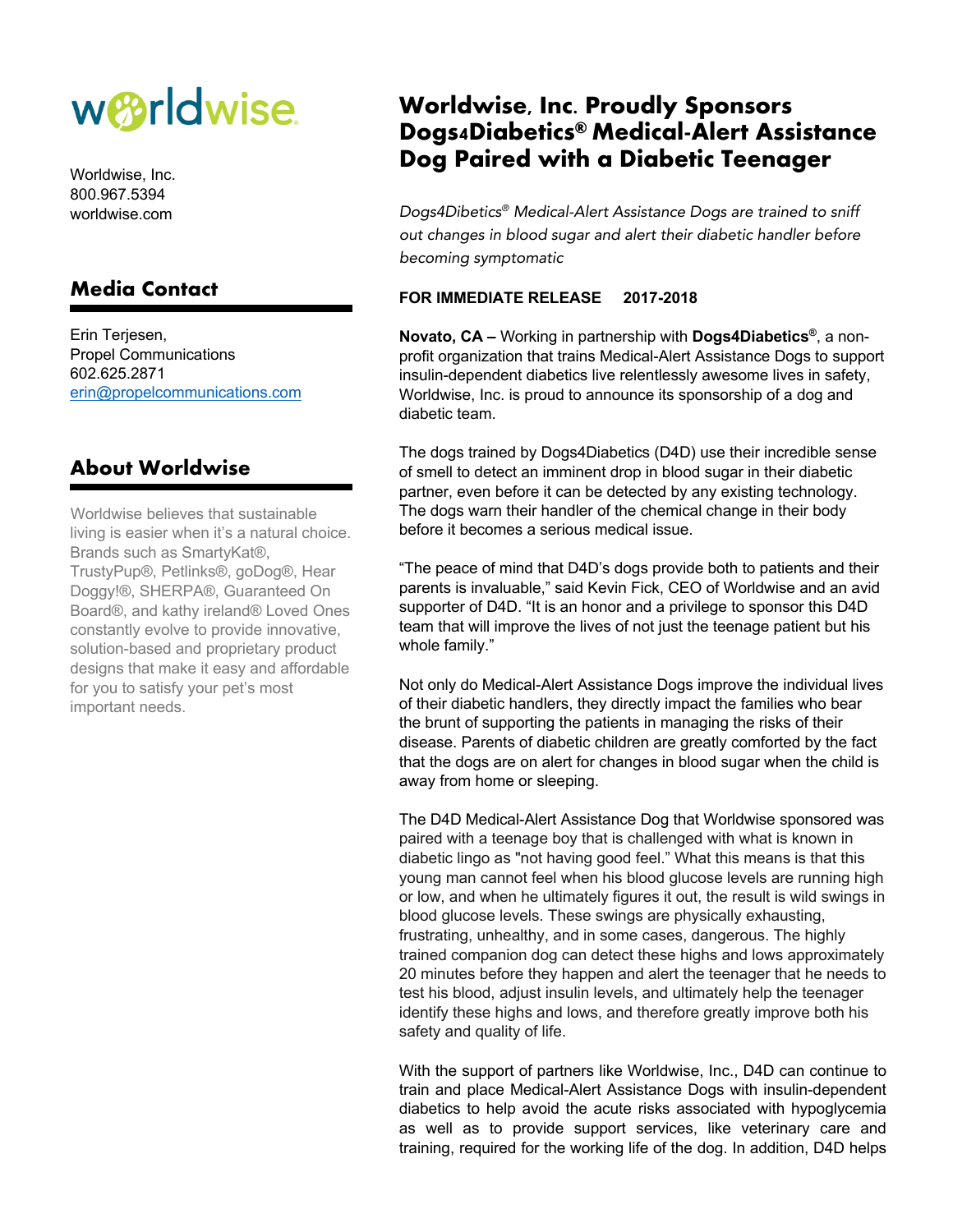# w*B*rldwise.

Worldwise, Inc. 800.967.5394 worldwise.com

### **Media Contact**

Erin Terjesen, Propel Communications 602.625.2871 erin@propelcommunications.com

#### **About Worldwise**

Worldwise believes that sustainable living is easier when it's a natural choice. Brands such as SmartyKat®, TrustyPup®, Petlinks®, goDog®, Hear Doggy!®, SHERPA®, Guaranteed On Board®, and kathy ireland® Loved Ones constantly evolve to provide innovative, solution-based and proprietary product designs that make it easy and affordable for you to satisfy your pet's most important needs.

## **Worldwise, Inc. Proudly Sponsors Dogs4Diabetics® Medical-Alert Assistance Dog Paired with a Diabetic Teenager**

*Dogs4Dibetics® Medical-Alert Assistance Dogs are trained to sniff out changes in blood sugar and alert their diabetic handler before becoming symptomatic*

#### **FOR IMMEDIATE RELEASE 2017-2018**

**Novato, CA –** Working in partnership with **Dogs4Diabetics®**, a nonprofit organization that trains Medical-Alert Assistance Dogs to support insulin-dependent diabetics live relentlessly awesome lives in safety, Worldwise, Inc. is proud to announce its sponsorship of a dog and diabetic team.

The dogs trained by Dogs4Diabetics (D4D) use their incredible sense of smell to detect an imminent drop in blood sugar in their diabetic partner, even before it can be detected by any existing technology. The dogs warn their handler of the chemical change in their body before it becomes a serious medical issue.

"The peace of mind that D4D's dogs provide both to patients and their parents is invaluable," said Kevin Fick, CEO of Worldwise and an avid supporter of D4D. "It is an honor and a privilege to sponsor this D4D team that will improve the lives of not just the teenage patient but his whole family."

Not only do Medical-Alert Assistance Dogs improve the individual lives of their diabetic handlers, they directly impact the families who bear the brunt of supporting the patients in managing the risks of their disease. Parents of diabetic children are greatly comforted by the fact that the dogs are on alert for changes in blood sugar when the child is away from home or sleeping.

The D4D Medical-Alert Assistance Dog that Worldwise sponsored was paired with a teenage boy that is challenged with what is known in diabetic lingo as "not having good feel." What this means is that this young man cannot feel when his blood glucose levels are running high or low, and when he ultimately figures it out, the result is wild swings in blood glucose levels. These swings are physically exhausting, frustrating, unhealthy, and in some cases, dangerous. The highly trained companion dog can detect these highs and lows approximately 20 minutes before they happen and alert the teenager that he needs to test his blood, adjust insulin levels, and ultimately help the teenager identify these highs and lows, and therefore greatly improve both his safety and quality of life.

With the support of partners like Worldwise, Inc., D4D can continue to train and place Medical-Alert Assistance Dogs with insulin-dependent diabetics to help avoid the acute risks associated with hypoglycemia as well as to provide support services, like veterinary care and training, required for the working life of the dog. In addition, D4D helps